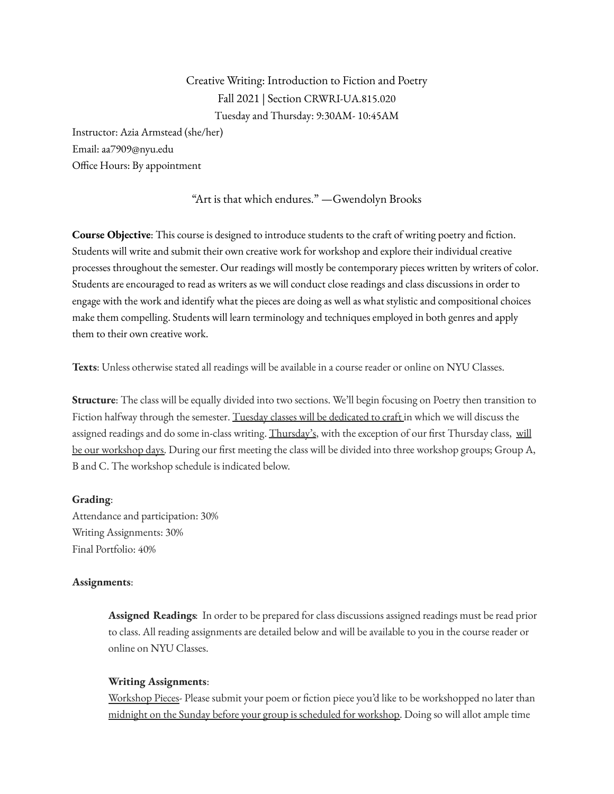Creative Writing: Introduction to Fiction and Poetry Fall 2021 | Section CRWRI-UA.815.020 Tuesday and Thursday: 9:30AM- 10:45AM

Instructor: Azia Armstead (she/her) Email: aa7909@nyu.edu Office Hours: By appointment

"Art is that which endures." —Gwendolyn Brooks

**Course Objective**: This course is designed to introduce students to the craft of writing poetry and fiction. Students will write and submit their own creative work for workshop and explore their individual creative processes throughout the semester. Our readings will mostly be contemporary pieces written by writers of color. Students are encouraged to read as writers as we will conduct close readings and class discussions in order to engage with the work and identify what the pieces are doing as well as what stylistic and compositional choices make them compelling. Students will learn terminology and techniques employed in both genres and apply them to their own creative work.

**Texts**: Unless otherwise stated all readings will be available in a course reader or online on NYU Classes.

**Structure**: The class will be equally divided into two sections. We'll begin focusing on Poetry then transition to Fiction halfway through the semester. Tuesday classes will be dedicated to craft in which we will discuss the assigned readings and do some in-class writing. Thursday's, with the exception of our first Thursday class, will be our workshop days. During our first meeting the class will be divided into three workshop groups; Group A, B and C. The workshop schedule is indicated below.

### **Grading**:

Attendance and participation: 30% Writing Assignments: 30% Final Portfolio: 40%

### **Assignments**:

**Assigned Readings**: In order to be prepared for class discussions assigned readings must be read prior to class. All reading assignments are detailed below and will be available to you in the course reader or online on NYU Classes.

### **Writing Assignments**:

Workshop Pieces- Please submit your poem or fiction piece you'd like to be workshopped no later than midnight on the Sunday before your group is scheduled for workshop. Doing so will allot ample time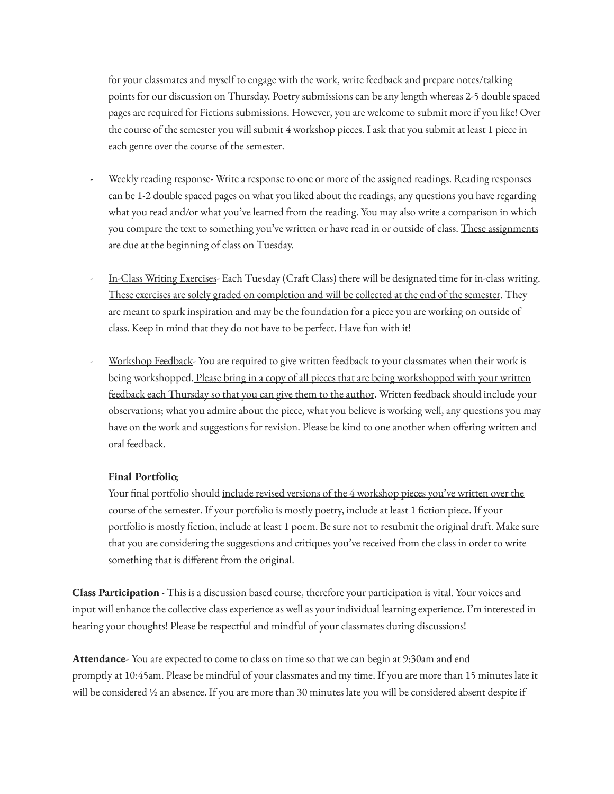for your classmates and myself to engage with the work, write feedback and prepare notes/talking points for our discussion on Thursday. Poetry submissions can be any length whereas 2-5 double spaced pages are required for Fictions submissions. However, you are welcome to submit more if you like! Over the course of the semester you will submit 4 workshop pieces. I ask that you submit at least 1 piece in each genre over the course of the semester.

- Weekly reading response- Write a response to one or more of the assigned readings. Reading responses can be 1-2 double spaced pages on what you liked about the readings, any questions you have regarding what you read and/or what you've learned from the reading. You may also write a comparison in which you compare the text to something you've written or have read in or outside of class. These assignments are due at the beginning of class on Tuesday.
- In-Class Writing Exercises- Each Tuesday (Craft Class) there will be designated time for in-class writing. These exercises are solely graded on completion and will be collected at the end of the semester. They are meant to spark inspiration and may be the foundation for a piece you are working on outside of class. Keep in mind that they do not have to be perfect. Have fun with it!
- Workshop Feedback- You are required to give written feedback to your classmates when their work is being workshopped. Please bring in a copy of all pieces that are being workshopped with your written feedback each Thursday so that you can give them to the author. Written feedback should include your observations; what you admire about the piece, what you believe is working well, any questions you may have on the work and suggestions for revision. Please be kind to one another when offering written and oral feedback.

## **Final Portfolio**;

Your final portfolio should include revised versions of the 4 workshop pieces you've written over the course of the semester. If your portfolio is mostly poetry, include at least 1 fiction piece. If your portfolio is mostly fiction, include at least 1 poem. Be sure not to resubmit the original draft. Make sure that you are considering the suggestions and critiques you've received from the class in order to write something that is different from the original.

**Class Participation** - This is a discussion based course, therefore your participation is vital. Your voices and input will enhance the collective class experience as well as your individual learning experience. I'm interested in hearing your thoughts! Please be respectful and mindful of your classmates during discussions!

**Attendance-** You are expected to come to class on time so that we can begin at 9:30am and end promptly at 10:45am. Please be mindful of your classmates and my time. If you are more than 15 minutes late it will be considered ½ an absence. If you are more than 30 minutes late you will be considered absent despite if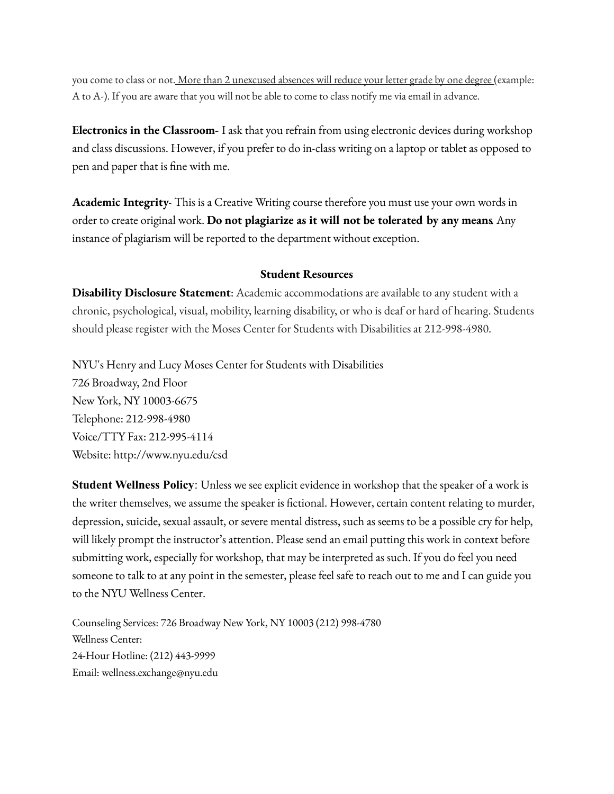you come to class or not. More than 2 unexcused absences will reduce your letter grade by one degree (example: A to A-). If you are aware that you will not be able to come to class notify me via email in advance.

**Electronics in the Classroom-** I ask that you refrain from using electronic devices during workshop and class discussions. However, if you prefer to do in-class writing on a laptop or tablet as opposed to pen and paper that is fine with me.

**Academic Integrity**- This is a Creative Writing course therefore you must use your own words in order to create original work. **Do not plagiarize as it will not be tolerated by any means**. Any instance of plagiarism will be reported to the department without exception.

### **Student Resources**

**Disability Disclosure Statement**: Academic accommodations are available to any student with a chronic, psychological, visual, mobility, learning disability, or who is deaf or hard of hearing. Students should please register with the Moses Center for Students with Disabilities at 212-998-4980.

NYU's Henry and Lucy Moses Center for Students with Disabilities 726 Broadway, 2nd Floor New York, NY 10003-6675 Telephone: 212-998-4980 Voice/TTY Fax: 212-995-4114 Website: http://www.nyu.edu/csd

**Student Wellness Policy**: Unless we see explicit evidence in workshop that the speaker of a work is the writer themselves, we assume the speaker is fictional. However, certain content relating to murder, depression, suicide, sexual assault, or severe mental distress, such as seems to be a possible cry for help, will likely prompt the instructor's attention. Please send an email putting this work in context before submitting work, especially for workshop, that may be interpreted as such. If you do feel you need someone to talk to at any point in the semester, please feel safe to reach out to me and I can guide you to the NYU Wellness Center.

Counseling Services: 726 Broadway New York, NY 10003 (212) 998-4780 Wellness Center: 24-Hour Hotline: (212) 443-9999 Email: wellness.exchange@nyu.edu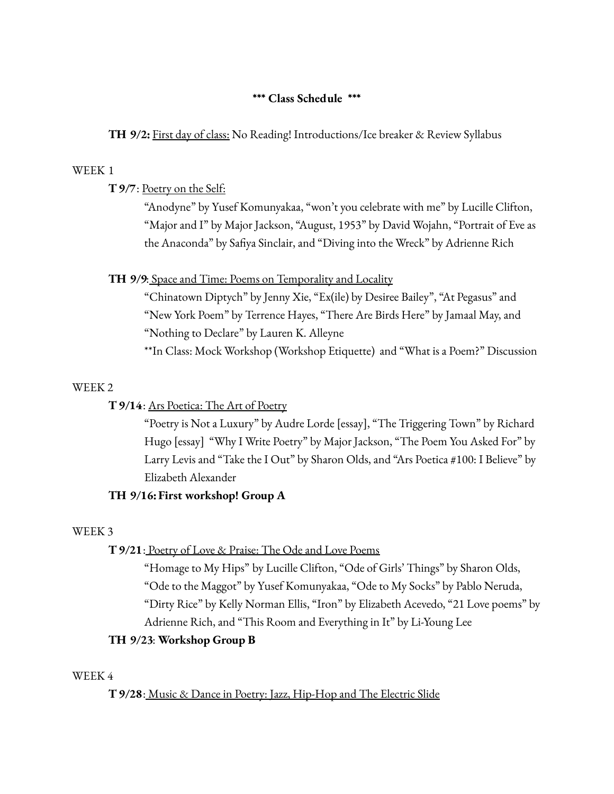## **\*\*\* Class Schedule \*\*\***

**TH 9/2:** First day of class: No Reading! Introductions/Ice breaker & Review Syllabus

### WEEK 1

**T9/7**: Poetry on the Self:

"Anodyne" by Yusef Komunyakaa, "won't you celebrate with me" by Lucille Clifton, "Major and I" by Major Jackson, "August, 1953" by David Wojahn, "Portrait of Eve as the Anaconda" by Safiya Sinclair, and "Diving into the Wreck" by Adrienne Rich

## **TH 9/9**: Space and Time: Poems on Temporality and Locality

"Chinatown Diptych" by Jenny Xie, "Ex(ile) by Desiree Bailey", "At Pegasus" and "New York Poem" by Terrence Hayes, "There Are Birds Here" by Jamaal May, and "Nothing to Declare" by Lauren K. Alleyne

\*\*In Class: Mock Workshop (Workshop Etiquette) and "What is a Poem?" Discussion

## WEEK 2

# **T9/14**: Ars Poetica: The Art of Poetry

"Poetry is Not a Luxury" by Audre Lorde [essay], "The Triggering Town" by Richard Hugo [essay] "Why I Write Poetry" by Major Jackson, "The Poem You Asked For" by Larry Levis and "Take the I Out" by Sharon Olds, and "Ars Poetica #100: I Believe" by Elizabeth Alexander

# **TH 9/16:First workshop! Group A**

## WEEK 3

# **T9/21**: Poetry of Love & Praise: The Ode and Love Poems

"Homage to My Hips" by Lucille Clifton, "Ode of Girls' Things" by Sharon Olds, "Ode to the Maggot" by Yusef Komunyakaa, "Ode to My Socks" by Pablo Neruda, "Dirty Rice" by Kelly Norman Ellis, "Iron" by Elizabeth Acevedo, "21 Love poems" by Adrienne Rich, and "This Room and Everything in It" by Li-Young Lee

# **TH 9/23**: **Workshop Group B**

## WEEK 4

## **T9/28**: Music & Dance in Poetry: Jazz, Hip-Hop and The Electric Slide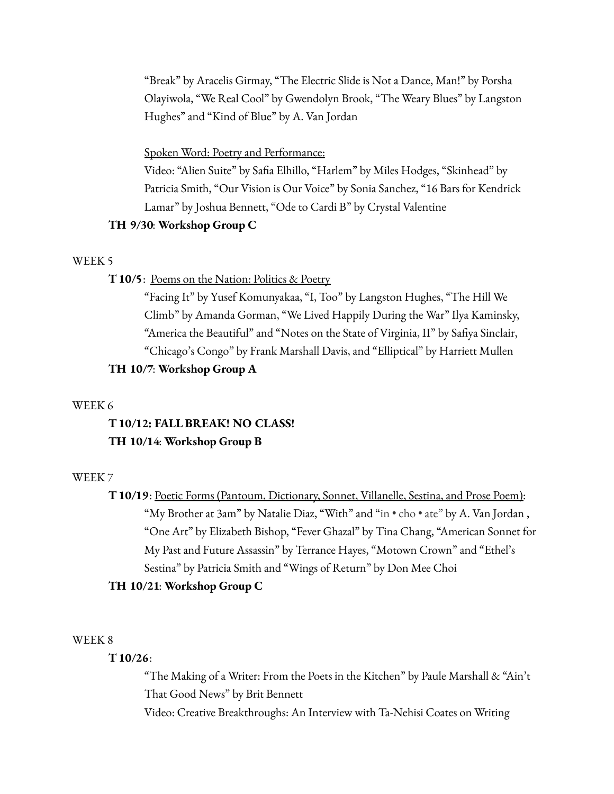"Break" by Aracelis Girmay, "The Electric Slide is Not a Dance, Man!" by Porsha Olayiwola, "We Real Cool" by Gwendolyn Brook, "The Weary Blues" by Langston Hughes" and "Kind of Blue" by A. Van Jordan

### Spoken Word: Poetry and Performance:

Video: "Alien Suite" by Safia Elhillo, "Harlem" by Miles Hodges, "Skinhead" by Patricia Smith, "Our Vision is Our Voice" by Sonia Sanchez, "16 Bars for Kendrick Lamar" by Joshua Bennett, "Ode to Cardi B" by Crystal Valentine

### **TH 9/30**: **Workshop Group C**

### WEEK 5

### **T10/5**: Poems on the Nation: Politics & Poetry

"Facing It" by Yusef Komunyakaa, "I, Too" by Langston Hughes, "The Hill We Climb" by Amanda Gorman, "We Lived Happily During the War" Ilya Kaminsky, "America the Beautiful" and "Notes on the State of Virginia, II" by Safiya Sinclair, "Chicago's Congo" by Frank Marshall Davis, and "Elliptical" by Harriett Mullen **TH 10/7**: **Workshop Group A**

#### WEEK 6

# **T10/12: FALL BREAK! NO CLASS! TH 10/14**: **Workshop Group B**

### WEEK 7

**T10/19**: Poetic Forms (Pantoum, Dictionary, Sonnet, Villanelle, Sestina, and Prose Poem): "My Brother at 3am" by Natalie Diaz, "With" and "in • cho • ate" by A. Van Jordan , "One Art" by Elizabeth Bishop, "Fever Ghazal" by Tina Chang, "American Sonnet for My Past and Future Assassin" by Terrance Hayes, "Motown Crown" and "Ethel's Sestina" by Patricia Smith and "Wings of Return" by Don Mee Choi

### **TH 10/21**: **Workshop Group C**

### WEEK 8

### **T10/26**:

"The Making of a Writer: From the Poets in the Kitchen" by Paule Marshall & "Ain't That Good News" by Brit Bennett Video: Creative Breakthroughs: An Interview with Ta-Nehisi Coates on Writing